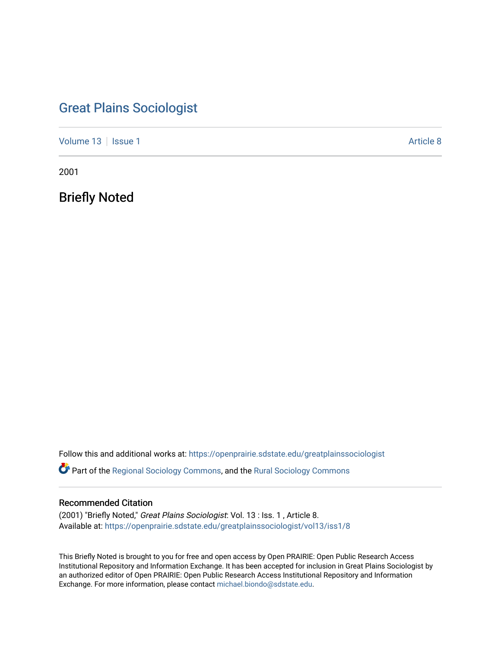# [Great Plains Sociologist](https://openprairie.sdstate.edu/greatplainssociologist)

[Volume 13](https://openprairie.sdstate.edu/greatplainssociologist/vol13) | [Issue 1](https://openprairie.sdstate.edu/greatplainssociologist/vol13/iss1) Article 8

2001

Briefly Noted

Follow this and additional works at: [https://openprairie.sdstate.edu/greatplainssociologist](https://openprairie.sdstate.edu/greatplainssociologist?utm_source=openprairie.sdstate.edu%2Fgreatplainssociologist%2Fvol13%2Fiss1%2F8&utm_medium=PDF&utm_campaign=PDFCoverPages) 

Part of the [Regional Sociology Commons](http://network.bepress.com/hgg/discipline/427?utm_source=openprairie.sdstate.edu%2Fgreatplainssociologist%2Fvol13%2Fiss1%2F8&utm_medium=PDF&utm_campaign=PDFCoverPages), and the [Rural Sociology Commons](http://network.bepress.com/hgg/discipline/428?utm_source=openprairie.sdstate.edu%2Fgreatplainssociologist%2Fvol13%2Fiss1%2F8&utm_medium=PDF&utm_campaign=PDFCoverPages) 

### Recommended Citation

(2001) "Briefly Noted," Great Plains Sociologist: Vol. 13 : Iss. 1 , Article 8. Available at: [https://openprairie.sdstate.edu/greatplainssociologist/vol13/iss1/8](https://openprairie.sdstate.edu/greatplainssociologist/vol13/iss1/8?utm_source=openprairie.sdstate.edu%2Fgreatplainssociologist%2Fvol13%2Fiss1%2F8&utm_medium=PDF&utm_campaign=PDFCoverPages)

This Briefly Noted is brought to you for free and open access by Open PRAIRIE: Open Public Research Access Institutional Repository and Information Exchange. It has been accepted for inclusion in Great Plains Sociologist by an authorized editor of Open PRAIRIE: Open Public Research Access Institutional Repository and Information Exchange. For more information, please contact [michael.biondo@sdstate.edu.](mailto:michael.biondo@sdstate.edu)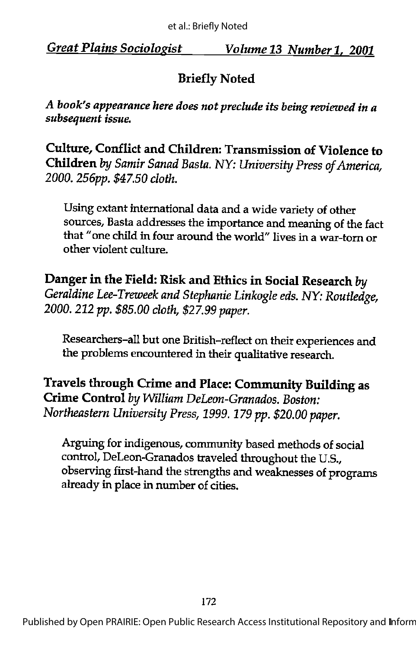## Briefly Noted

A book's appearance here does not preclude its being reviewed in a subsequent issue.

Culture, Conflict and Children: Transmission of Violence to Children by Samir Sanad Basta. NY: University Press of America, 2000. 256pp. \$47.50 cloth.

Using extant international data and a wide variety of other sources, Basta addresses the importance and meaning of the fact that "one child in four around the world" lives in a war-torn or other violent culture.

Danger in the Field: Risk and Ethics in Social Research by Geraldine Lee-Treweek and Stephanie Linkogle eds. NY: Routledge, 2000.212 pp. \$85.00 cloth, \$27.99 paper.

Researchers-all but one British-reflect on their experiences and the problems encountered in their qualitative research.

Travels through Crime and Place: Community Building as Crime Control by William DeLeon-Granados. Boston: Northeastern University Press, 1999.179 pp. \$20.00 paper.

Arguing for indigenous, community based methods of social control, DeLeon-Granados traveled throughout the U.S., observing first-hand the strengths and weaknesses of programs already in place in number of cities.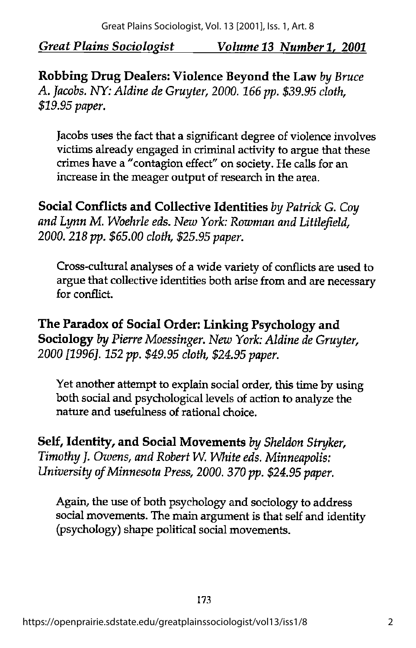Robbing Drug Dealers: Violence Beyond the Law by Bruce A. Jacobs. NY: Aldine de Gruyter, 2000. 166 pp. \$39.95 cloth, \$19.95 paper.

Jacobs uses the fact that a significant degree of violence involves victims already engaged in criminal activity to argue that these crimes have a "contagion effect" on society. He calls for an increase in the meager output of research in the area.

Social Conflicts and Collective Identities by Patrick G. Coy and Lynn M. Woehrle eds. New York: Rowman and Littlefield, 2000.218 pp. \$65.00 cloth, \$25.95 paper.

Cross-cultural analyses of a wide variety of conflicts are used to argue that collective identities both arise from and are necessary for conflict.

The Paradox of Social Order: Linking Psychology and Sociology by Pierre Moessinger. New York: Aldine de Gruyter. 2000 [1996]. 152 pp. \$49.95 cloth, \$24.95 paper.

Yet another attempt to explain social order, this time by using both social and psychological levels of action to analyze the nature and usefulness of rational choice.

Self, Identity, and Social Movements by Sheldon Stryker, Timothy J. Owens, and Robert W. White eds. Minneapolis: University of Minnesota Press, 2000. 370 pp. \$24.95 paper.

Again, the use of both psychology and sociology to address social movements. The main argument is that self and identity (psychology) shape political social movements.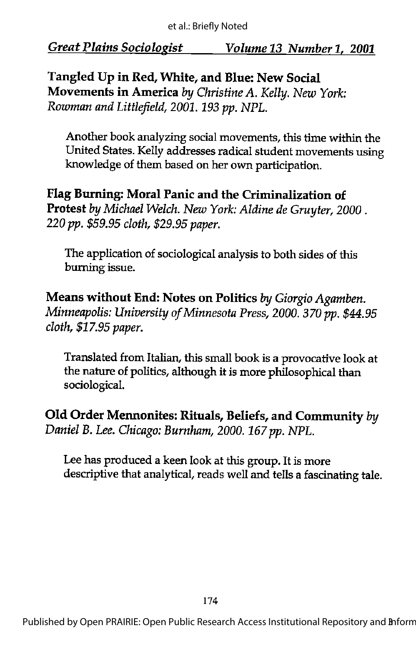Tangled Up in Red, White, and Blue: New Social Movements in America by Christine A. Kelly. New York: Rowman and Littlefield, 2001.193 pp. NPL.

Another book analyzing social movements, this time within the United States. Kelly addresses radical student movements using knowledge of them based on her own participation.

Flag Burning: Moral Panic and the Criminalization of Protest by Michael Welch. New York: Aldine de Gruyter, 2000. 220 pp. \$59.95 cloth, \$29.95 paper.

The application of sociological analysis to both sides of this burning issue.

Means without End: Notes on Politics by Giorgio Agamben. Minneapolis: University of Minnesota Press, 2000. 370 pp. \$44.95 cloth, \$17.95 paper.

Translated from Italian, this small book is a provocative look at the nature of politics, although it is more philosophical than sociological.

Old Order Mennonites: Rituals, Beliefs, and Community hy Daniel B. Lee. Chicago: Burnham, 2000. 167 pp. NPL.

Lee has produced a keen look at this group. It is more descriptive that analytical, reads well and tells a fascinating tale.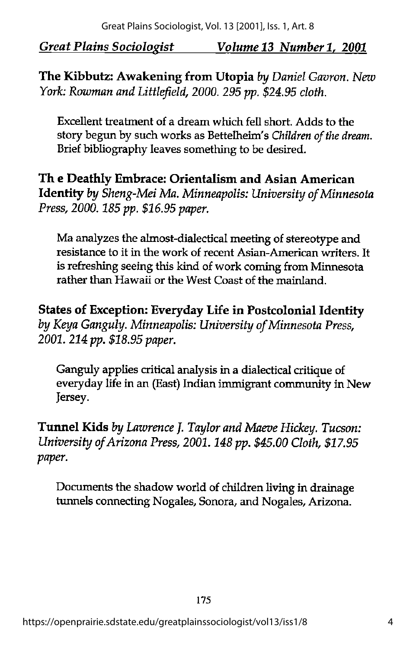The Kibbutz: Awakening from Utopia by Daniel Gavron. New York: Rowman and Littlefield, 2000. 295 pp. \$24.95 cloth.

Excellent treatment of a dream which fell short. Adds to the story begun by such works as Bettelheim's Children of the dream. Brief bibliography leaves something to be desired.

Th e Deathly Embrace: Orientalism and Asian American Identity by Sheng-Mei Ma. Minneapolis: University of Minnesota Press, 2000. 185 pp. \$16.95 paper.

Ma analyzes the almost-dialectical meeting of stereotype and resistance to it in the work of recent Asian-American writers. It is refreshing seeing this kind of work coming from Minnesota rather than Hawaii or the West Coast of the mainland.

States of Exception: Everyday Life in Postcolonial Identity by Keya Ganguly. Minneapolis: University of Minnesota Press, 2001. 214 pp. \$18.95 paper.

Ganguly applies critical analysis in a dialectical critique of everyday life in an (East) Indian immigrant community in New Jersey.

Tunnel Kids by Lawrence J. Taylor and Maeve Hickey. Tucson: University of Arizona Press, 2001. 148 pp. \$45.00 Cloth, \$17.95 paper.

Documents the shadow world of children living in drainage tunnels connecting Nogales, Sonora, and Nogales, Arizona.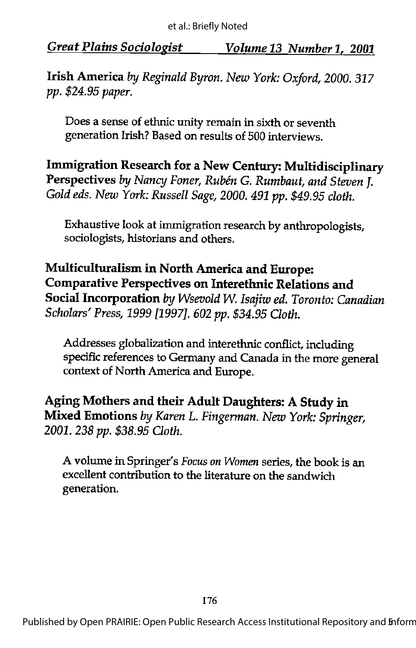Irish America by Reginald Byron. New York: Oxford, 2000. 317 pp. \$24.95 paper.

Does a sense of ethnic unity remain in sixth or seventh generation Irish? Based on results of 500 interviews.

Immigration Research for a New Century: Multidisciplinary Perspectives by Nancy Foner, Rubén G. Rumbaut, and Steven I. Gold eds. New York: Russell Sage, 2000. 491 pp. \$49.95 cloth.

Exhaustive look at immigration research by anthropologists, sociologists, historians and others.

Multiculturalism in North America and Europe: Comparative Perspectives on Interethnic Relations and Social Incorporation by Wsevold W. Isajiw ed. Toronto: Canadian Scholars' Press, 1999 [1997]. 602 pp. \$34.95 Cloth.

Addresses globalization and interethnic conflict, including specific references to Germany and Canada in the more general context of North America and Europe.

Aging Mothers and their Adult Daughters: A Study in Mixed Emotions by Karen L. Fingerman. New York: Springer, 2001.238 pp. \$38.95 Cloth.

A volume in Springer's Focus on Women series, the book is an excellent contribution to the literature on the sandwich generation.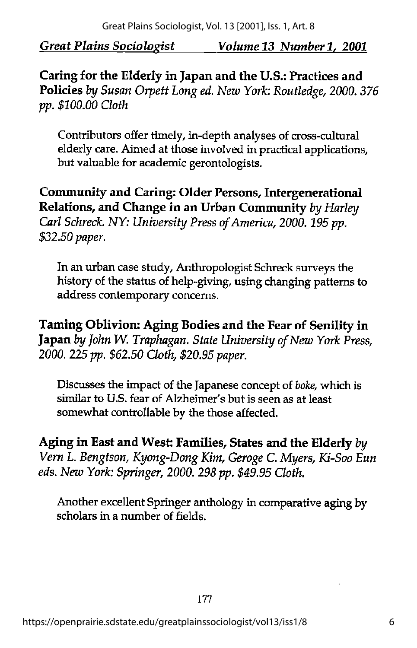Caring for the Elderly in Japan and the U.S.: Practices and Policies by Susan Orpett Long ed. New York: Routledge, 2000. 376 pp. \$100.00 Cloth

Contributors offer timely, in-depth analyses of cross-cultural elderly care. Aimed at those involved in practical applications, but valuable for academic gerontologists.

Community and Caring: Older Persons, Intergenerational Relations, and Change in an Urban Community by Harley Carl Schreck. NY: University Press of America, 2000. 195 pp. \$32.50 paper.

In an urban case study, Anthropologist Schreck surveys the history of the status of help-giving, using changing patterns to address contemporary concerns.

Taming Oblivion: Aging Bodies and the Fear of Senility in Japan by John W. Traphagan. State University of New York Press, 2000. 225 pp. \$62.50 Cloth, \$20.95 paper.

Discusses the impact of the Japanese concept of boke, which is similar to U.S. fear of Alzheimer's but is seen as at least somewhat controllable by the those affected.

Aging in East and West: Families, States and the Elderly by Vem L. Bengtson, Kyong-Dong Kim, Geroge C. Myers, Ki-Soo Eun eds. New York: Springer, 2000. 298 pp. \$49.95 Cloth.

Another excellent Springer anthology in comparative aging by scholars in a number of fields.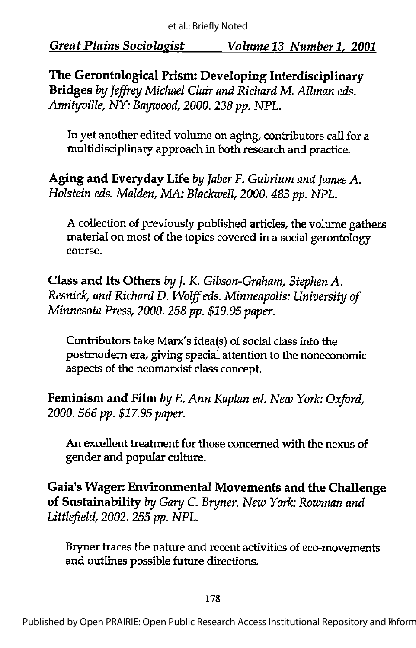The Gerontological Prism: Developing Interdisciplinary Bridges by Jeffrey Michael Clair and Richard M. Allman eds. Amityville, NY: Baywood, 2000. 238 pp. NPL.

In yet another edited volume on aging, contributors call for a multidisciplinary approach in both research and practice.

Aging and Everyday Life by Jaber F. Gubrium and James A. Holstein eds. Malden, MA: Blackwell, 2000. 483 pp. NPL.

A collection of previously published articles, the volume gathers material on most of the topics covered in a social gerontology course.

Class and Its Others by J. K. Gibson-Graham, Stephen A. Resnick, and Richard D. Wolff eds. Minneapolis: University of Minnesota Press, 2000. 258 pp. \$19.95 paper.

Contributors take Marx's idea(s) of social class into the postmodern era, giving special attention to the noneconomic aspects of the neomarxist class concept.

Feminism and Film by E. Ann Kaplan ed. New York: Oxford, 2000. 566 pp. \$17.95 paper.

An excellent treatment for those concerned with the nexus of gender and popular culture.

Gaia's Wager: Environmental Movements and the Challenge of Sustainability by Gary C. Bryner. New York: Rowman and Littlefield, 2002. 255 pp. NPL.

Bryner traces the nature and recent activities of eco-movements and outlines possible future directions.

178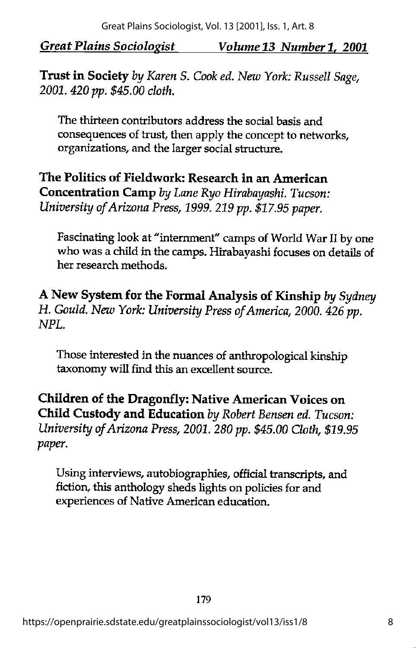Trust in Society by Karen S. Cook ed. New York: Russell Sage, 2001.420 pp. \$45.00 cloth.

The thirteen contributors address the social basis and consequences of trust, then apply the concept to networks, organizations, and the larger social structure.

The Politics of Fieldwork: Research in an American Concentration Camp byLane Ryo Hirabayashi. Tucson: University ofArizona Press, 1999. 219 pp. \$17.95 paper.

Fascinating look at "internment" camps of World War II by one who was a child in the camps. Hirabayashi focuses on details of her research methods.

A New System for the Formal Analysis of Kinship by Sydney H. Gould. New York: University Press of America, 2000. 426 pp. NPL.

Those interested in the nuances of anthropological kinship taxonomy will find this an excellent source.

Children of the Dragonfly: Native American Voices on Child Custody and Education by Robert Bensen ed. Tucson: University of Arizona Press, 2001. 280 pp. \$45.00 Cloth, \$19.95 paper.

Using interviews, autobiographies, official transcripts, and fiction, this anthologysheds lights on policies for and experiences of Native American education.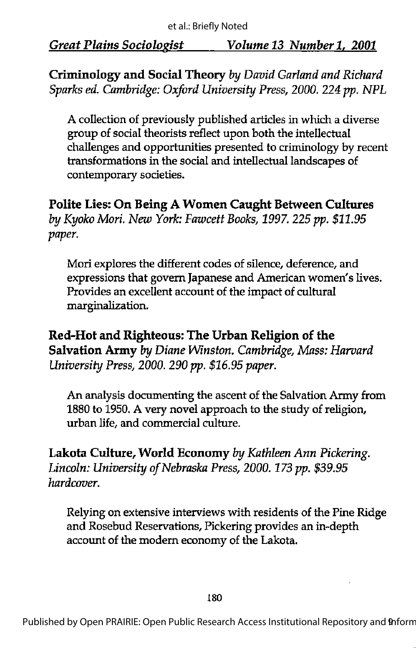Criminology and Social Theory by David Garland and Richard Sparks ed. Cambridge: Oxford University Press, 2000. 224 pp. NPL

A collection of previously published articles in which a diverse group of social theorists reflect upon both the intellectual challenges and opportunities presented to criminology by recent transformations in the social and intellectual landscapes of contemporary societies.

Polite Lies: On Being A Women Caught Between Cultures by Kyoko Mori. New York: Fawcett Books, 1997. 225 pp. \$11.95 paper.

Mori explores the different codes of silence, deference, and expressions that govern Japanese and American women's lives. Provides an excellent account of the impact of cultural marginalization.

Red-Hot and Righteous: The Urban Religion of the Salvation Army by Diane Winston. Cambridge, Mass: Harvard University Press, 2000. 290 pp. \$16.95 paper.

An analysis documenting the ascent of the Salvation Army from 1880 to 1950. A very novel approach to the study of religion, urban life, and commercial culture.

Lakota Culture, World Economy by Kathleen Ann Pickering. Lincoln: University of Nebraska Press, 2000. 173 pp. \$39.95 hardcover.

Relying on extensive interviews with residents of the Pine Ridge and Rosebud Reservations, Pickering provides an in-depth account of the modern economy of the Lakota.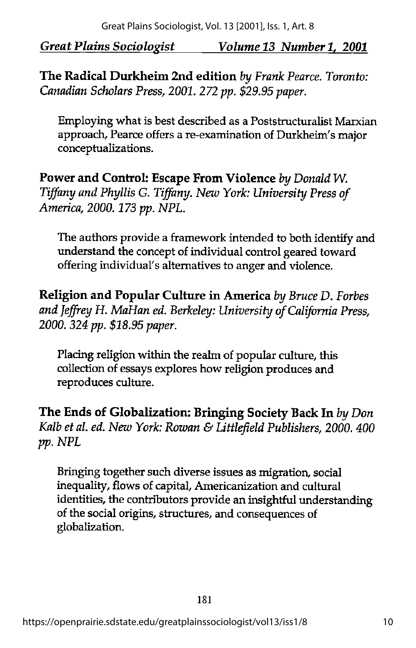The Radical Durkheim 2nd edition by Frank Pearce. Toronto: Canadian Scholars Press, 2001. 272 pp. \$29.95 paper.

Employing what is best described as a Poststructuralist Marxian approach, Pearce offers a re-examination of Durkheim's major conceptualizations.

Power and Control: Escape From Violence by Donald W. Tiffany and Phyllis G. Tiffany. New York: University Press of America, 2000.173 pp. NPL.

The authors provide a framework intended to both identify and understand the concept of individual control geared toward offering individual's alternatives to anger and violence.

Religion and Popular Culture in America by Bruce D. Forbes and Jeffrey H. MaHan ed. Berkeley: University of California Press, 2000. 324 pp. \$18.95 paper.

Placing religion within the realm of popular culture, this collection of essays explores how religion produces and reproduces culture.

The Ends of Globalization: Bringing Society Back In by Don Kalb et al. ed. New York: Rowan & Littlefield Publishers, 2000. 400 pp. NPL

Bringing together such diverse issues as migration, social inequality, flows of capital, Americanization and cultural identities, the contributors provide an insightful understanding of the social origins, structures, and consequences of globalization.